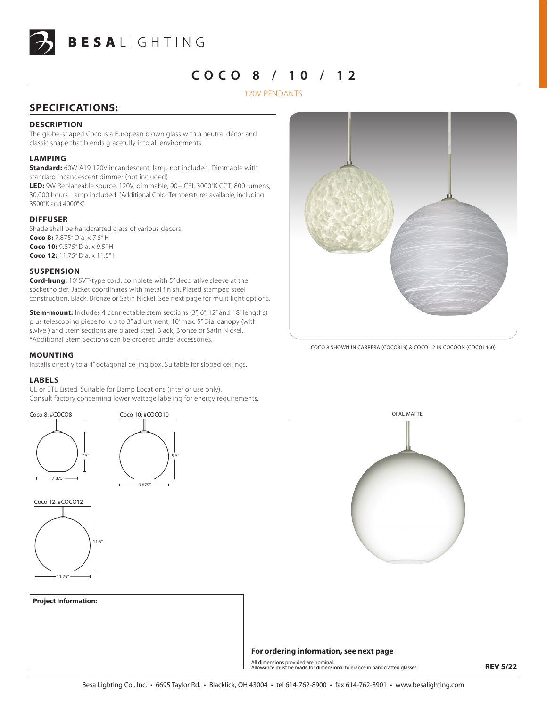

# **C o c o 8 / 10 / 12**

# 120V pendants

# **SPECIFICATIONS:**

## **DESCRIPTION**

The globe-shaped Coco is a European blown glass with a neutral décor and classic shape that blends gracefully into all environments.

### **LAMPING**

**Standard:** 60W A19 120V incandescent, lamp not included. Dimmable with standard incandescent dimmer (not included).

**LED:** 9W Replaceable source, 120V, dimmable, 90+ CRI, 3000°K CCT, 800 lumens, 30,000 hours. Lamp included. (Additional Color Temperatures available, including 3500°K and 4000°K)

### **DIFFUSER**

Shade shall be handcrafted glass of various decors. **Coco 8:** 7.875" Dia. x 7.5" H **Coco 10:** 9.875" Dia. x 9.5" H **Coco 12:** 11.75" Dia. x 11.5" H

### **SUSPENSION**

**Cord-hung:** 10' SVT-type cord, complete with 5" decorative sleeve at the socketholder. Jacket coordinates with metal finish. Plated stamped steel construction. Black, Bronze or Satin Nickel. See next page for mulit light options.

**Stem-mount:** Includes 4 connectable stem sections (3", 6", 12" and 18" lengths) plus telescoping piece for up to 3" adjustment, 10' max. 5" Dia. canopy (with swivel) and stem sections are plated steel. Black, Bronze or Satin Nickel. \*Additional Stem Sections can be ordered under accessories.

### **MOUNTING**

Installs directly to a 4" octagonal ceiling box. Suitable for sloped ceilings.

### **LABELS**

UL or ETL Listed. Suitable for Damp Locations (interior use only). Consult factory concerning lower wattage labeling for energy requirements.















# **For ordering information, see next page**

All dimensions provided are nominal.<br>Allowance must be made for dimensional tolerance in handcrafted glasses. **All and the system REV 5/22** 

# **Project Information:**